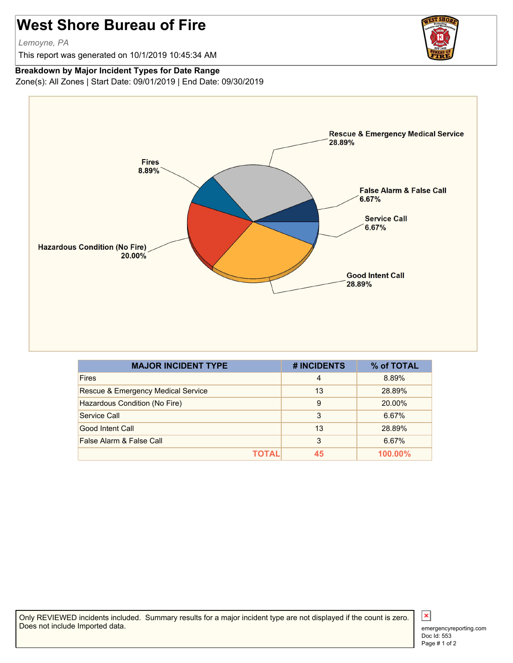## **West Shore Bureau of Fire**

*Lemoyne, PA*

This report was generated on 10/1/2019 10:45:34 AM

## **Breakdown by Major Incident Types for Date Range**

Zone(s): All Zones | Start Date: 09/01/2019 | End Date: 09/30/2019



| <b>MAJOR INCIDENT TYPE</b>         | # INCIDENTS    | % of TOTAL |
|------------------------------------|----------------|------------|
| <b>Fires</b>                       | $\overline{4}$ | 8.89%      |
| Rescue & Emergency Medical Service | 13             | 28.89%     |
| Hazardous Condition (No Fire)      | 9              | 20.00%     |
| Service Call                       | 3              | 6.67%      |
| Good Intent Call                   | 13             | 28.89%     |
| False Alarm & False Call           | 3              | 6.67%      |
| TOTAL                              | 45             | 100.00%    |

Only REVIEWED incidents included. Summary results for a major incident type are not displayed if the count is zero. Does not include Imported data.



 $\vert x \vert$